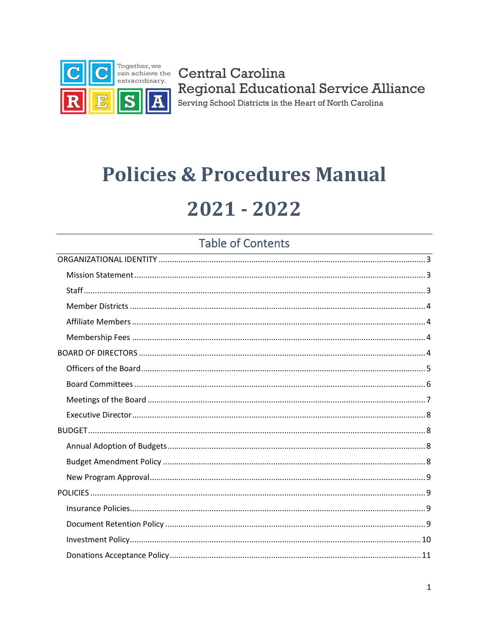

# **Policies & Procedures Manual** 2021 - 2022

## **Table of Contents**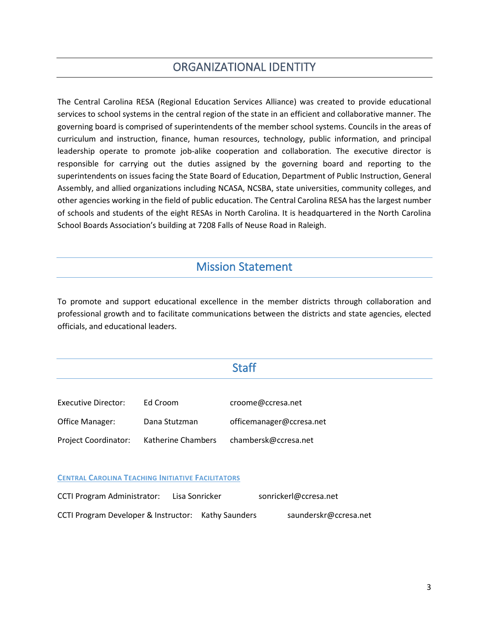## ORGANIZATIONAL IDENTITY

<span id="page-2-0"></span>The Central Carolina RESA (Regional Education Services Alliance) was created to provide educational services to school systems in the central region of the state in an efficient and collaborative manner. The governing board is comprised of superintendents of the member school systems. Councils in the areas of curriculum and instruction, finance, human resources, technology, public information, and principal leadership operate to promote job-alike cooperation and collaboration. The executive director is responsible for carrying out the duties assigned by the governing board and reporting to the superintendents on issues facing the State Board of Education, Department of Public Instruction, General Assembly, and allied organizations including NCASA, NCSBA, state universities, community colleges, and other agencies working in the field of public education. The Central Carolina RESA has the largest number of schools and students of the eight RESAs in North Carolina. It is headquartered in the North Carolina School Boards Association's building at 7208 Falls of Neuse Road in Raleigh.

#### Mission Statement

<span id="page-2-1"></span>To promote and support educational excellence in the member districts through collaboration and professional growth and to facilitate communications between the districts and state agencies, elected officials, and educational leaders.

#### **Staff**

<span id="page-2-2"></span>

| Executive Director:         | Ed Croom                  | croome@ccresa.net        |
|-----------------------------|---------------------------|--------------------------|
| Office Manager:             | Dana Stutzman             | officemanager@ccresa.net |
| <b>Project Coordinator:</b> | <b>Katherine Chambers</b> | chambersk@ccresa.net     |

**CENTRAL CAROLINA TEACHING INITIATIVE FACILITATORS**

| <b>CCTI Program Administrator:</b>                  | Lisa Sonricker | sonrickerl@ccresa.net |  |
|-----------------------------------------------------|----------------|-----------------------|--|
| CCTI Program Developer & Instructor: Kathy Saunders |                | saunderskr@ccresa.net |  |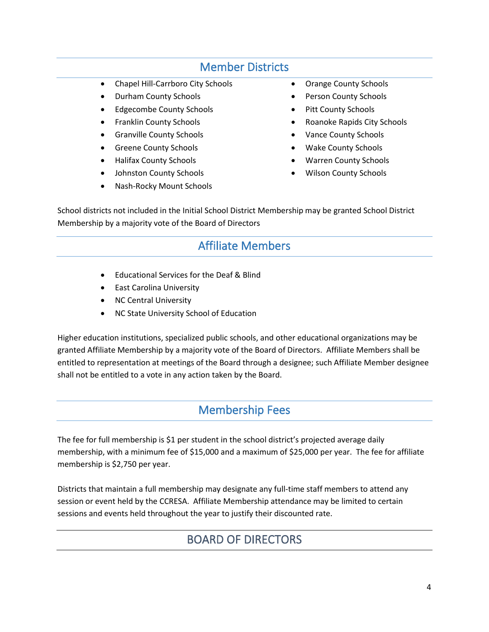#### Member Districts

- <span id="page-3-0"></span>• Chapel Hill-Carrboro City Schools
- Durham County Schools
- Edgecombe County Schools
- Franklin County Schools
- Granville County Schools
- Greene County Schools
- Halifax County Schools
- Johnston County Schools
- Nash-Rocky Mount Schools
- Orange County Schools
- Person County Schools
- Pitt County Schools
- Roanoke Rapids City Schools
- Vance County Schools
- Wake County Schools
- Warren County Schools
- Wilson County Schools

<span id="page-3-1"></span>School districts not included in the Initial School District Membership may be granted School District Membership by a majority vote of the Board of Directors

## Affiliate Members

- Educational Services for the Deaf & Blind
- East Carolina University
- NC Central University
- NC State University School of Education

Higher education institutions, specialized public schools, and other educational organizations may be granted Affiliate Membership by a majority vote of the Board of Directors. Affiliate Members shall be entitled to representation at meetings of the Board through a designee; such Affiliate Member designee shall not be entitled to a vote in any action taken by the Board.

#### Membership Fees

<span id="page-3-2"></span>The fee for full membership is \$1 per student in the school district's projected average daily membership, with a minimum fee of \$15,000 and a maximum of \$25,000 per year. The fee for affiliate membership is \$2,750 per year.

<span id="page-3-3"></span>Districts that maintain a full membership may designate any full-time staff members to attend any session or event held by the CCRESA. Affiliate Membership attendance may be limited to certain sessions and events held throughout the year to justify their discounted rate.

## BOARD OF DIRECTORS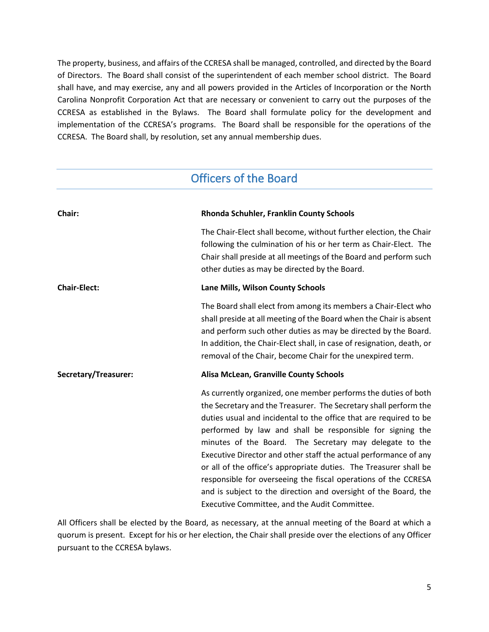The property, business, and affairs of the CCRESA shall be managed, controlled, and directed by the Board of Directors. The Board shall consist of the superintendent of each member school district. The Board shall have, and may exercise, any and all powers provided in the Articles of Incorporation or the North Carolina Nonprofit Corporation Act that are necessary or convenient to carry out the purposes of the CCRESA as established in the Bylaws. The Board shall formulate policy for the development and implementation of the CCRESA's programs. The Board shall be responsible for the operations of the CCRESA. The Board shall, by resolution, set any annual membership dues.

## Officers of the Board

<span id="page-4-0"></span>

| Chair:               | Rhonda Schuhler, Franklin County Schools                                                                                                                                                                                                                                                                                                                                                                                                                                                                                                                                                                                                                       |
|----------------------|----------------------------------------------------------------------------------------------------------------------------------------------------------------------------------------------------------------------------------------------------------------------------------------------------------------------------------------------------------------------------------------------------------------------------------------------------------------------------------------------------------------------------------------------------------------------------------------------------------------------------------------------------------------|
|                      | The Chair-Elect shall become, without further election, the Chair<br>following the culmination of his or her term as Chair-Elect. The<br>Chair shall preside at all meetings of the Board and perform such<br>other duties as may be directed by the Board.                                                                                                                                                                                                                                                                                                                                                                                                    |
| <b>Chair-Elect:</b>  | Lane Mills, Wilson County Schools                                                                                                                                                                                                                                                                                                                                                                                                                                                                                                                                                                                                                              |
|                      | The Board shall elect from among its members a Chair-Elect who<br>shall preside at all meeting of the Board when the Chair is absent<br>and perform such other duties as may be directed by the Board.<br>In addition, the Chair-Elect shall, in case of resignation, death, or<br>removal of the Chair, become Chair for the unexpired term.                                                                                                                                                                                                                                                                                                                  |
| Secretary/Treasurer: | Alisa McLean, Granville County Schools                                                                                                                                                                                                                                                                                                                                                                                                                                                                                                                                                                                                                         |
|                      | As currently organized, one member performs the duties of both<br>the Secretary and the Treasurer. The Secretary shall perform the<br>duties usual and incidental to the office that are required to be<br>performed by law and shall be responsible for signing the<br>minutes of the Board. The Secretary may delegate to the<br>Executive Director and other staff the actual performance of any<br>or all of the office's appropriate duties. The Treasurer shall be<br>responsible for overseeing the fiscal operations of the CCRESA<br>and is subject to the direction and oversight of the Board, the<br>Executive Committee, and the Audit Committee. |

All Officers shall be elected by the Board, as necessary, at the annual meeting of the Board at which a quorum is present. Except for his or her election, the Chair shall preside over the elections of any Officer pursuant to the CCRESA bylaws.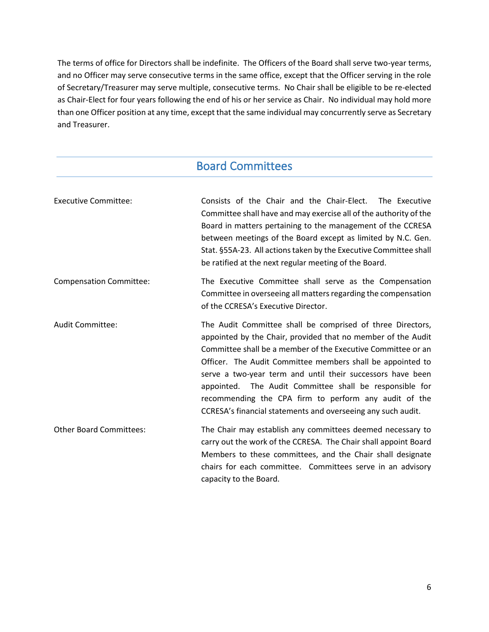The terms of office for Directors shall be indefinite. The Officers of the Board shall serve two-year terms, and no Officer may serve consecutive terms in the same office, except that the Officer serving in the role of Secretary/Treasurer may serve multiple, consecutive terms. No Chair shall be eligible to be re-elected as Chair-Elect for four years following the end of his or her service as Chair. No individual may hold more than one Officer position at any time, except that the same individual may concurrently serve as Secretary and Treasurer.

## Board Committees

<span id="page-5-0"></span>

| <b>Executive Committee:</b>    | Consists of the Chair and the Chair-Elect. The Executive<br>Committee shall have and may exercise all of the authority of the<br>Board in matters pertaining to the management of the CCRESA<br>between meetings of the Board except as limited by N.C. Gen.<br>Stat. §55A-23. All actions taken by the Executive Committee shall<br>be ratified at the next regular meeting of the Board.                                                                                                                 |  |
|--------------------------------|------------------------------------------------------------------------------------------------------------------------------------------------------------------------------------------------------------------------------------------------------------------------------------------------------------------------------------------------------------------------------------------------------------------------------------------------------------------------------------------------------------|--|
| <b>Compensation Committee:</b> | The Executive Committee shall serve as the Compensation<br>Committee in overseeing all matters regarding the compensation<br>of the CCRESA's Executive Director.                                                                                                                                                                                                                                                                                                                                           |  |
| Audit Committee:               | The Audit Committee shall be comprised of three Directors,<br>appointed by the Chair, provided that no member of the Audit<br>Committee shall be a member of the Executive Committee or an<br>Officer. The Audit Committee members shall be appointed to<br>serve a two-year term and until their successors have been<br>appointed. The Audit Committee shall be responsible for<br>recommending the CPA firm to perform any audit of the<br>CCRESA's financial statements and overseeing any such audit. |  |
| <b>Other Board Committees:</b> | The Chair may establish any committees deemed necessary to<br>carry out the work of the CCRESA. The Chair shall appoint Board<br>Members to these committees, and the Chair shall designate<br>chairs for each committee. Committees serve in an advisory<br>capacity to the Board.                                                                                                                                                                                                                        |  |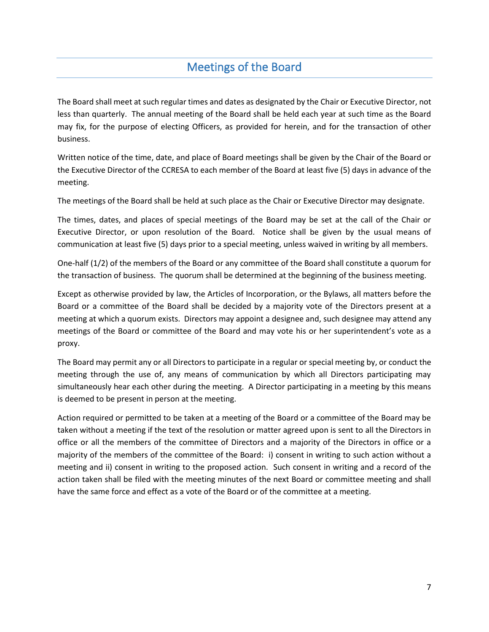## Meetings of the Board

<span id="page-6-0"></span>The Board shall meet at such regular times and dates as designated by the Chair or Executive Director, not less than quarterly. The annual meeting of the Board shall be held each year at such time as the Board may fix, for the purpose of electing Officers, as provided for herein, and for the transaction of other business.

Written notice of the time, date, and place of Board meetings shall be given by the Chair of the Board or the Executive Director of the CCRESA to each member of the Board at least five (5) days in advance of the meeting.

The meetings of the Board shall be held at such place as the Chair or Executive Director may designate.

The times, dates, and places of special meetings of the Board may be set at the call of the Chair or Executive Director, or upon resolution of the Board. Notice shall be given by the usual means of communication at least five (5) days prior to a special meeting, unless waived in writing by all members.

One-half (1/2) of the members of the Board or any committee of the Board shall constitute a quorum for the transaction of business. The quorum shall be determined at the beginning of the business meeting.

Except as otherwise provided by law, the Articles of Incorporation, or the Bylaws, all matters before the Board or a committee of the Board shall be decided by a majority vote of the Directors present at a meeting at which a quorum exists. Directors may appoint a designee and, such designee may attend any meetings of the Board or committee of the Board and may vote his or her superintendent's vote as a proxy.

The Board may permit any or all Directors to participate in a regular or special meeting by, or conduct the meeting through the use of, any means of communication by which all Directors participating may simultaneously hear each other during the meeting. A Director participating in a meeting by this means is deemed to be present in person at the meeting.

Action required or permitted to be taken at a meeting of the Board or a committee of the Board may be taken without a meeting if the text of the resolution or matter agreed upon is sent to all the Directors in office or all the members of the committee of Directors and a majority of the Directors in office or a majority of the members of the committee of the Board: i) consent in writing to such action without a meeting and ii) consent in writing to the proposed action. Such consent in writing and a record of the action taken shall be filed with the meeting minutes of the next Board or committee meeting and shall have the same force and effect as a vote of the Board or of the committee at a meeting.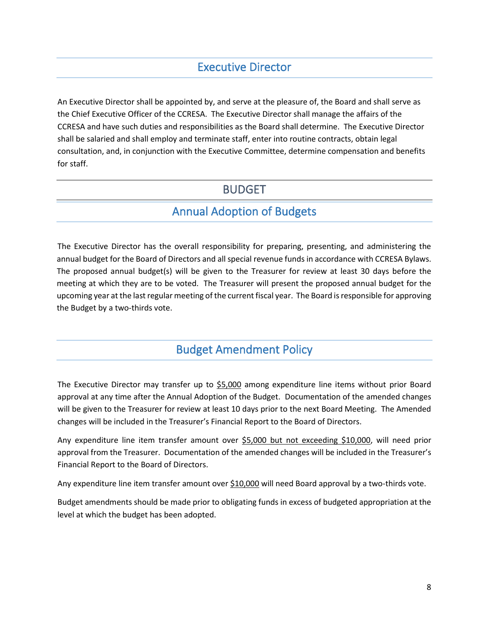#### Executive Director

<span id="page-7-0"></span>An Executive Director shall be appointed by, and serve at the pleasure of, the Board and shall serve as the Chief Executive Officer of the CCRESA. The Executive Director shall manage the affairs of the CCRESA and have such duties and responsibilities as the Board shall determine. The Executive Director shall be salaried and shall employ and terminate staff, enter into routine contracts, obtain legal consultation, and, in conjunction with the Executive Committee, determine compensation and benefits for staff.

#### BUDGET

#### Annual Adoption of Budgets

<span id="page-7-2"></span><span id="page-7-1"></span>The Executive Director has the overall responsibility for preparing, presenting, and administering the annual budget for the Board of Directors and all special revenue funds in accordance with CCRESA Bylaws. The proposed annual budget(s) will be given to the Treasurer for review at least 30 days before the meeting at which they are to be voted. The Treasurer will present the proposed annual budget for the upcoming year at the last regular meeting of the current fiscal year. The Board is responsible for approving the Budget by a two-thirds vote.

#### Budget Amendment Policy

<span id="page-7-3"></span>The Executive Director may transfer up to \$5,000 among expenditure line items without prior Board approval at any time after the Annual Adoption of the Budget. Documentation of the amended changes will be given to the Treasurer for review at least 10 days prior to the next Board Meeting. The Amended changes will be included in the Treasurer's Financial Report to the Board of Directors.

Any expenditure line item transfer amount over \$5,000 but not exceeding \$10,000, will need prior approval from the Treasurer. Documentation of the amended changes will be included in the Treasurer's Financial Report to the Board of Directors.

Any expenditure line item transfer amount over \$10,000 will need Board approval by a two-thirds vote.

Budget amendments should be made prior to obligating funds in excess of budgeted appropriation at the level at which the budget has been adopted.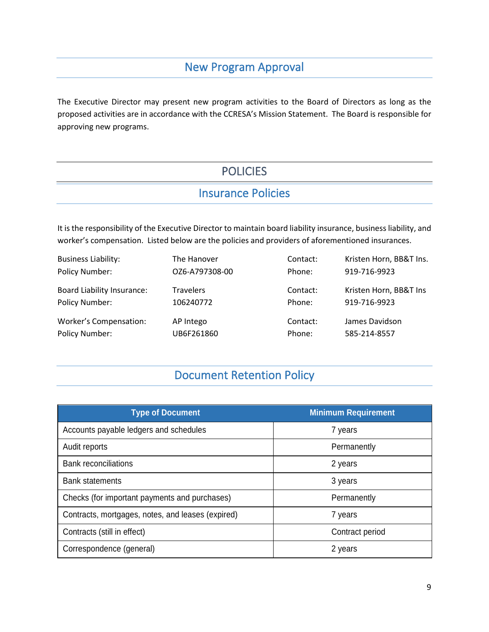#### New Program Approval

<span id="page-8-1"></span><span id="page-8-0"></span>The Executive Director may present new program activities to the Board of Directors as long as the proposed activities are in accordance with the CCRESA's Mission Statement. The Board is responsible for approving new programs.

## **POLICIES**

#### Insurance Policies

<span id="page-8-2"></span>It is the responsibility of the Executive Director to maintain board liability insurance, business liability, and worker's compensation. Listed below are the policies and providers of aforementioned insurances.

| <b>Business Liability:</b>        | The Hanover      | Contact: | Kristen Horn, BB&T Ins. |
|-----------------------------------|------------------|----------|-------------------------|
| Policy Number:                    | OZ6-A797308-00   | Phone:   | 919-716-9923            |
| <b>Board Liability Insurance:</b> | <b>Travelers</b> | Contact: | Kristen Horn, BB&T Ins  |
| Policy Number:                    | 106240772        | Phone:   | 919-716-9923            |
| Worker's Compensation:            | AP Intego        | Contact: | James Davidson          |
| Policy Number:                    | UB6F261860       | Phone:   | 585-214-8557            |

## Document Retention Policy

<span id="page-8-3"></span>

| <b>Type of Document</b>                           | <b>Minimum Requirement</b> |
|---------------------------------------------------|----------------------------|
| Accounts payable ledgers and schedules            | 7 years                    |
| Audit reports                                     | Permanently                |
| <b>Bank reconciliations</b>                       | 2 years                    |
| <b>Bank statements</b>                            | 3 years                    |
| Checks (for important payments and purchases)     | Permanently                |
| Contracts, mortgages, notes, and leases (expired) | 7 years                    |
| Contracts (still in effect)                       | Contract period            |
| Correspondence (general)                          | 2 years                    |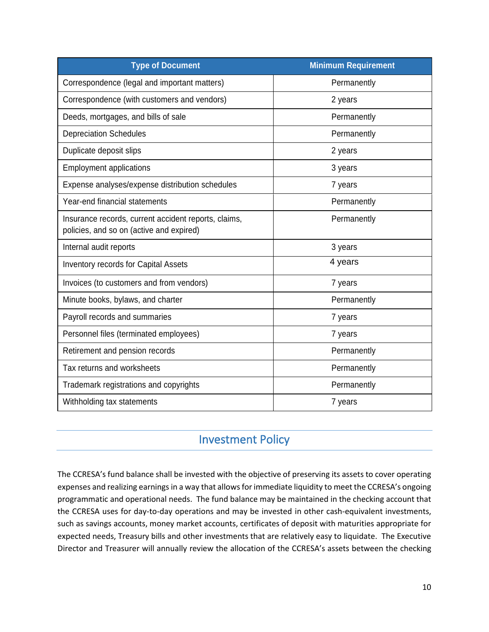| <b>Type of Document</b>                                                                          | <b>Minimum Requirement</b> |
|--------------------------------------------------------------------------------------------------|----------------------------|
| Correspondence (legal and important matters)                                                     | Permanently                |
| Correspondence (with customers and vendors)                                                      | 2 years                    |
| Deeds, mortgages, and bills of sale                                                              | Permanently                |
| <b>Depreciation Schedules</b>                                                                    | Permanently                |
| Duplicate deposit slips                                                                          | 2 years                    |
| <b>Employment applications</b>                                                                   | 3 years                    |
| Expense analyses/expense distribution schedules                                                  | 7 years                    |
| Year-end financial statements                                                                    | Permanently                |
| Insurance records, current accident reports, claims,<br>policies, and so on (active and expired) | Permanently                |
| Internal audit reports                                                                           | 3 years                    |
| <b>Inventory records for Capital Assets</b>                                                      | 4 years                    |
| Invoices (to customers and from vendors)                                                         | 7 years                    |
| Minute books, bylaws, and charter                                                                | Permanently                |
| Payroll records and summaries                                                                    | 7 years                    |
| Personnel files (terminated employees)                                                           | 7 years                    |
| Retirement and pension records                                                                   | Permanently                |
| Tax returns and worksheets                                                                       | Permanently                |
| Trademark registrations and copyrights                                                           | Permanently                |
| Withholding tax statements                                                                       | 7 years                    |

#### Investment Policy

<span id="page-9-0"></span>The CCRESA's fund balance shall be invested with the objective of preserving its assets to cover operating expenses and realizing earnings in a way that allows for immediate liquidity to meet the CCRESA's ongoing programmatic and operational needs. The fund balance may be maintained in the checking account that the CCRESA uses for day-to-day operations and may be invested in other cash-equivalent investments, such as savings accounts, money market accounts, certificates of deposit with maturities appropriate for expected needs, Treasury bills and other investments that are relatively easy to liquidate. The Executive Director and Treasurer will annually review the allocation of the CCRESA's assets between the checking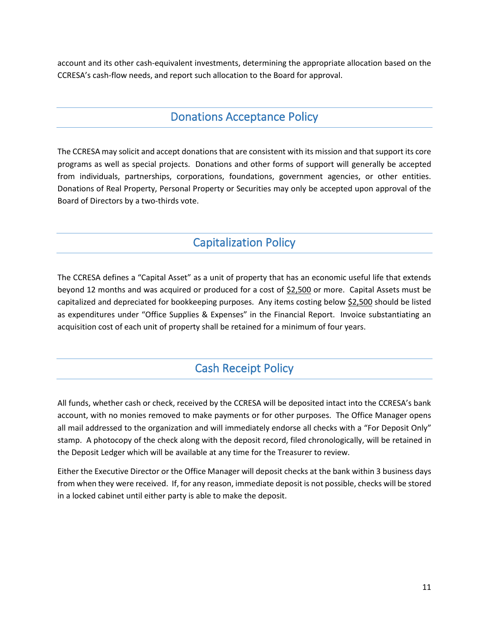account and its other cash-equivalent investments, determining the appropriate allocation based on the CCRESA's cash-flow needs, and report such allocation to the Board for approval.

#### Donations Acceptance Policy

<span id="page-10-0"></span>The CCRESA may solicit and accept donations that are consistent with its mission and that support its core programs as well as special projects. Donations and other forms of support will generally be accepted from individuals, partnerships, corporations, foundations, government agencies, or other entities. Donations of Real Property, Personal Property or Securities may only be accepted upon approval of the Board of Directors by a two-thirds vote.

## Capitalization Policy

<span id="page-10-1"></span>The CCRESA defines a "Capital Asset" as a unit of property that has an economic useful life that extends beyond 12 months and was acquired or produced for a cost of \$2,500 or more. Capital Assets must be capitalized and depreciated for bookkeeping purposes. Any items costing below \$2,500 should be listed as expenditures under "Office Supplies & Expenses" in the Financial Report. Invoice substantiating an acquisition cost of each unit of property shall be retained for a minimum of four years.

## Cash Receipt Policy

<span id="page-10-2"></span>All funds, whether cash or check, received by the CCRESA will be deposited intact into the CCRESA's bank account, with no monies removed to make payments or for other purposes. The Office Manager opens all mail addressed to the organization and will immediately endorse all checks with a "For Deposit Only" stamp. A photocopy of the check along with the deposit record, filed chronologically, will be retained in the Deposit Ledger which will be available at any time for the Treasurer to review.

Either the Executive Director or the Office Manager will deposit checks at the bank within 3 business days from when they were received. If, for any reason, immediate deposit is not possible, checks will be stored in a locked cabinet until either party is able to make the deposit.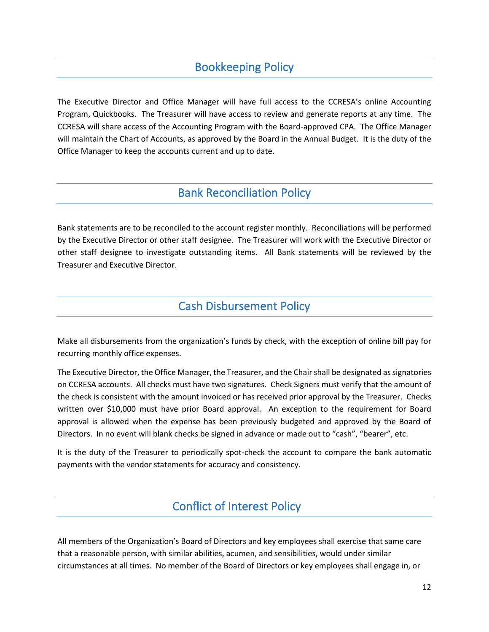## Bookkeeping Policy

<span id="page-11-0"></span>The Executive Director and Office Manager will have full access to the CCRESA's online Accounting Program, Quickbooks. The Treasurer will have access to review and generate reports at any time. The CCRESA will share access of the Accounting Program with the Board-approved CPA. The Office Manager will maintain the Chart of Accounts, as approved by the Board in the Annual Budget. It is the duty of the Office Manager to keep the accounts current and up to date.

#### Bank Reconciliation Policy

<span id="page-11-1"></span>Bank statements are to be reconciled to the account register monthly. Reconciliations will be performed by the Executive Director or other staff designee. The Treasurer will work with the Executive Director or other staff designee to investigate outstanding items. All Bank statements will be reviewed by the Treasurer and Executive Director.

#### Cash Disbursement Policy

<span id="page-11-2"></span>Make all disbursements from the organization's funds by check, with the exception of online bill pay for recurring monthly office expenses.

The Executive Director, the Office Manager, the Treasurer, and the Chair shall be designated as signatories on CCRESA accounts. All checks must have two signatures. Check Signers must verify that the amount of the check is consistent with the amount invoiced or has received prior approval by the Treasurer. Checks written over \$10,000 must have prior Board approval. An exception to the requirement for Board approval is allowed when the expense has been previously budgeted and approved by the Board of Directors. In no event will blank checks be signed in advance or made out to "cash", "bearer", etc.

It is the duty of the Treasurer to periodically spot-check the account to compare the bank automatic payments with the vendor statements for accuracy and consistency.

#### Conflict of Interest Policy

<span id="page-11-3"></span>All members of the Organization's Board of Directors and key employees shall exercise that same care that a reasonable person, with similar abilities, acumen, and sensibilities, would under similar circumstances at all times. No member of the Board of Directors or key employees shall engage in, or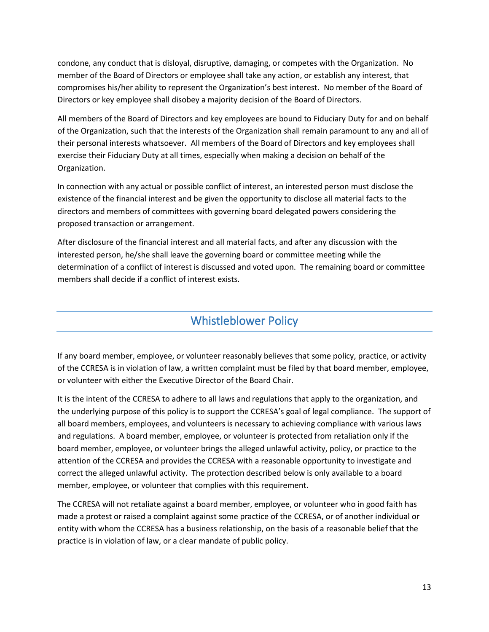condone, any conduct that is disloyal, disruptive, damaging, or competes with the Organization. No member of the Board of Directors or employee shall take any action, or establish any interest, that compromises his/her ability to represent the Organization's best interest. No member of the Board of Directors or key employee shall disobey a majority decision of the Board of Directors.

All members of the Board of Directors and key employees are bound to Fiduciary Duty for and on behalf of the Organization, such that the interests of the Organization shall remain paramount to any and all of their personal interests whatsoever. All members of the Board of Directors and key employees shall exercise their Fiduciary Duty at all times, especially when making a decision on behalf of the Organization.

In connection with any actual or possible conflict of interest, an interested person must disclose the existence of the financial interest and be given the opportunity to disclose all material facts to the directors and members of committees with governing board delegated powers considering the proposed transaction or arrangement.

After disclosure of the financial interest and all material facts, and after any discussion with the interested person, he/she shall leave the governing board or committee meeting while the determination of a conflict of interest is discussed and voted upon. The remaining board or committee members shall decide if a conflict of interest exists.

## Whistleblower Policy

<span id="page-12-0"></span>If any board member, employee, or volunteer reasonably believes that some policy, practice, or activity of the CCRESA is in violation of law, a written complaint must be filed by that board member, employee, or volunteer with either the Executive Director of the Board Chair.

It is the intent of the CCRESA to adhere to all laws and regulations that apply to the organization, and the underlying purpose of this policy is to support the CCRESA's goal of legal compliance. The support of all board members, employees, and volunteers is necessary to achieving compliance with various laws and regulations. A board member, employee, or volunteer is protected from retaliation only if the board member, employee, or volunteer brings the alleged unlawful activity, policy, or practice to the attention of the CCRESA and provides the CCRESA with a reasonable opportunity to investigate and correct the alleged unlawful activity. The protection described below is only available to a board member, employee, or volunteer that complies with this requirement.

The CCRESA will not retaliate against a board member, employee, or volunteer who in good faith has made a protest or raised a complaint against some practice of the CCRESA, or of another individual or entity with whom the CCRESA has a business relationship, on the basis of a reasonable belief that the practice is in violation of law, or a clear mandate of public policy.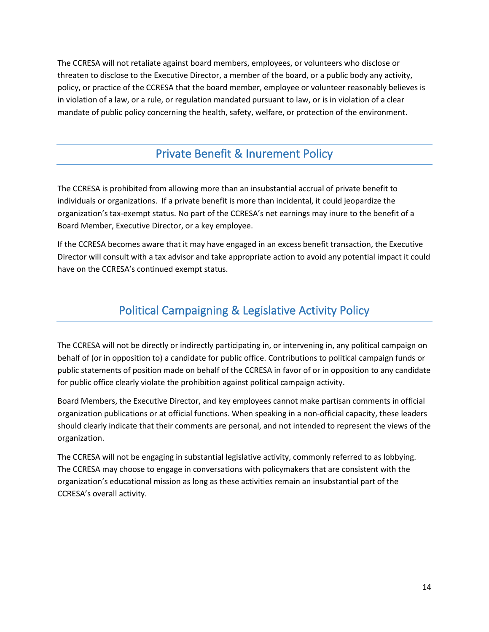The CCRESA will not retaliate against board members, employees, or volunteers who disclose or threaten to disclose to the Executive Director, a member of the board, or a public body any activity, policy, or practice of the CCRESA that the board member, employee or volunteer reasonably believes is in violation of a law, or a rule, or regulation mandated pursuant to law, or is in violation of a clear mandate of public policy concerning the health, safety, welfare, or protection of the environment.

### Private Benefit & Inurement Policy

<span id="page-13-0"></span>The CCRESA is prohibited from allowing more than an insubstantial accrual of private benefit to individuals or organizations. If a private benefit is more than incidental, it could jeopardize the organization's tax-exempt status. No part of the CCRESA's net earnings may inure to the benefit of a Board Member, Executive Director, or a key employee.

If the CCRESA becomes aware that it may have engaged in an excess benefit transaction, the Executive Director will consult with a tax advisor and take appropriate action to avoid any potential impact it could have on the CCRESA's continued exempt status.

## Political Campaigning & Legislative Activity Policy

<span id="page-13-1"></span>The CCRESA will not be directly or indirectly participating in, or intervening in, any political campaign on behalf of (or in opposition to) a candidate for public office. Contributions to political campaign funds or public statements of position made on behalf of the CCRESA in favor of or in opposition to any candidate for public office clearly violate the prohibition against political campaign activity.

Board Members, the Executive Director, and key employees cannot make partisan comments in official organization publications or at official functions. When speaking in a non-official capacity, these leaders should clearly indicate that their comments are personal, and not intended to represent the views of the organization.

The CCRESA will not be engaging in substantial legislative activity, commonly referred to as lobbying. The CCRESA may choose to engage in conversations with policymakers that are consistent with the organization's educational mission as long as these activities remain an insubstantial part of the CCRESA's overall activity.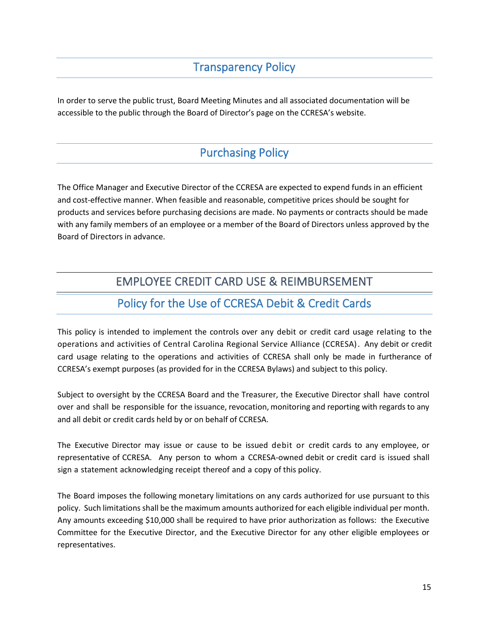#### Transparency Policy

<span id="page-14-0"></span>In order to serve the public trust, Board Meeting Minutes and all associated documentation will be accessible to the public through the Board of Director's page on the CCRESA's website.

#### Purchasing Policy

<span id="page-14-1"></span>The Office Manager and Executive Director of the CCRESA are expected to expend funds in an efficient and cost-effective manner. When feasible and reasonable, competitive prices should be sought for products and services before purchasing decisions are made. No payments or contracts should be made with any family members of an employee or a member of the Board of Directors unless approved by the Board of Directors in advance.

#### EMPLOYEE CREDIT CARD USE & REIMBURSEMENT

#### Policy for the Use of CCRESA Debit & Credit Cards

<span id="page-14-3"></span><span id="page-14-2"></span>This policy is intended to implement the controls over any debit or credit card usage relating to the operations and activities of Central Carolina Regional Service Alliance (CCRESA). Any debit or credit card usage relating to the operations and activities of CCRESA shall only be made in furtherance of CCRESA's exempt purposes (as provided for in the CCRESA Bylaws) and subject to this policy.

Subject to oversight by the CCRESA Board and the Treasurer, the Executive Director shall have control over and shall be responsible for the issuance, revocation, monitoring and reporting with regards to any and all debit or credit cards held by or on behalf of CCRESA.

The Executive Director may issue or cause to be issued debit or credit cards to any employee, or representative of CCRESA. Any person to whom a CCRESA-owned debit or credit card is issued shall sign a statement acknowledging receipt thereof and a copy of this policy.

The Board imposes the following monetary limitations on any cards authorized for use pursuant to this policy. Such limitations shall be the maximum amounts authorized for each eligible individual per month. Any amounts exceeding \$10,000 shall be required to have prior authorization as follows: the Executive Committee for the Executive Director, and the Executive Director for any other eligible employees or representatives.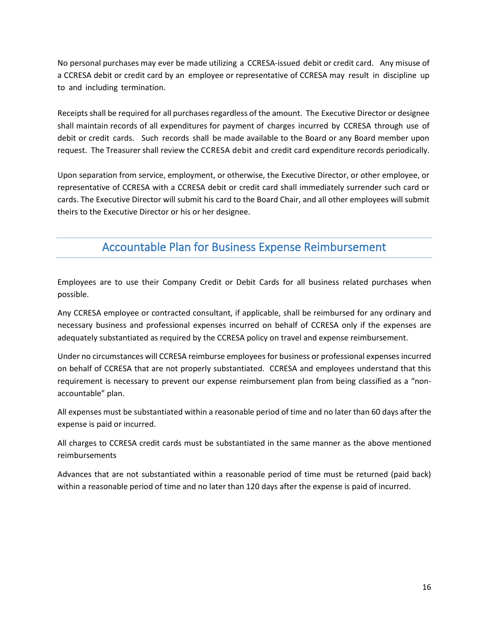No personal purchases may ever be made utilizing a CCRESA-issued debit or credit card. Any misuse of a CCRESA debit or credit card by an employee or representative of CCRESA may result in discipline up to and including termination.

Receipts shall be required for all purchases regardless of the amount. The Executive Director or designee shall maintain records of all expenditures for payment of charges incurred by CCRESA through use of debit or credit cards. Such records shall be made available to the Board or any Board member upon request. The Treasurer shall review the CCRESA debit and credit card expenditure records periodically.

Upon separation from service, employment, or otherwise, the Executive Director, or other employee, or representative of CCRESA with a CCRESA debit or credit card shall immediately surrender such card or cards. The Executive Director will submit his card to the Board Chair, and all other employees will submit theirs to the Executive Director or his or her designee.

#### Accountable Plan for Business Expense Reimbursement

<span id="page-15-0"></span>Employees are to use their Company Credit or Debit Cards for all business related purchases when possible.

Any CCRESA employee or contracted consultant, if applicable, shall be reimbursed for any ordinary and necessary business and professional expenses incurred on behalf of CCRESA only if the expenses are adequately substantiated as required by the CCRESA policy on travel and expense reimbursement.

Under no circumstances will CCRESA reimburse employees for business or professional expenses incurred on behalf of CCRESA that are not properly substantiated. CCRESA and employees understand that this requirement is necessary to prevent our expense reimbursement plan from being classified as a "nonaccountable" plan.

All expenses must be substantiated within a reasonable period of time and no later than 60 days after the expense is paid or incurred.

All charges to CCRESA credit cards must be substantiated in the same manner as the above mentioned reimbursements

Advances that are not substantiated within a reasonable period of time must be returned (paid back) within a reasonable period of time and no later than 120 days after the expense is paid of incurred.